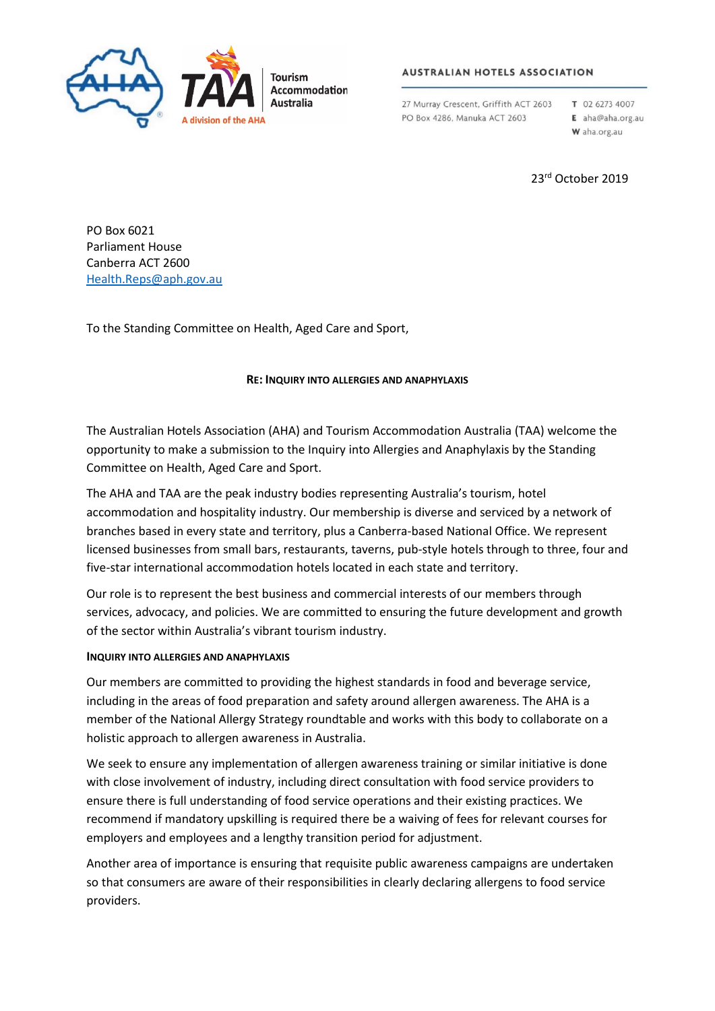

## **AUSTRALIAN HOTELS ASSOCIATION**

27 Murray Crescent, Griffith ACT 2603 PO Box 4286, Manuka ACT 2603

T 02 6273 4007 E aha@aha.org.au W aha.org.au

23rd October 2019

PO Box 6021 Parliament House Canberra ACT 2600 [Health.Reps@aph.gov.au](mailto:Health.Reps@aph.gov.au)

To the Standing Committee on Health, Aged Care and Sport,

## **RE: INQUIRY INTO ALLERGIES AND ANAPHYLAXIS**

The Australian Hotels Association (AHA) and Tourism Accommodation Australia (TAA) welcome the opportunity to make a submission to the Inquiry into Allergies and Anaphylaxis by the Standing Committee on Health, Aged Care and Sport.

The AHA and TAA are the peak industry bodies representing Australia's tourism, hotel accommodation and hospitality industry. Our membership is diverse and serviced by a network of branches based in every state and territory, plus a Canberra-based National Office. We represent licensed businesses from small bars, restaurants, taverns, pub-style hotels through to three, four and five-star international accommodation hotels located in each state and territory.

Our role is to represent the best business and commercial interests of our members through services, advocacy, and policies. We are committed to ensuring the future development and growth of the sector within Australia's vibrant tourism industry.

## **INQUIRY INTO ALLERGIES AND ANAPHYLAXIS**

Our members are committed to providing the highest standards in food and beverage service, including in the areas of food preparation and safety around allergen awareness. The AHA is a member of the National Allergy Strategy roundtable and works with this body to collaborate on a holistic approach to allergen awareness in Australia.

We seek to ensure any implementation of allergen awareness training or similar initiative is done with close involvement of industry, including direct consultation with food service providers to ensure there is full understanding of food service operations and their existing practices. We recommend if mandatory upskilling is required there be a waiving of fees for relevant courses for employers and employees and a lengthy transition period for adjustment.

Another area of importance is ensuring that requisite public awareness campaigns are undertaken so that consumers are aware of their responsibilities in clearly declaring allergens to food service providers.